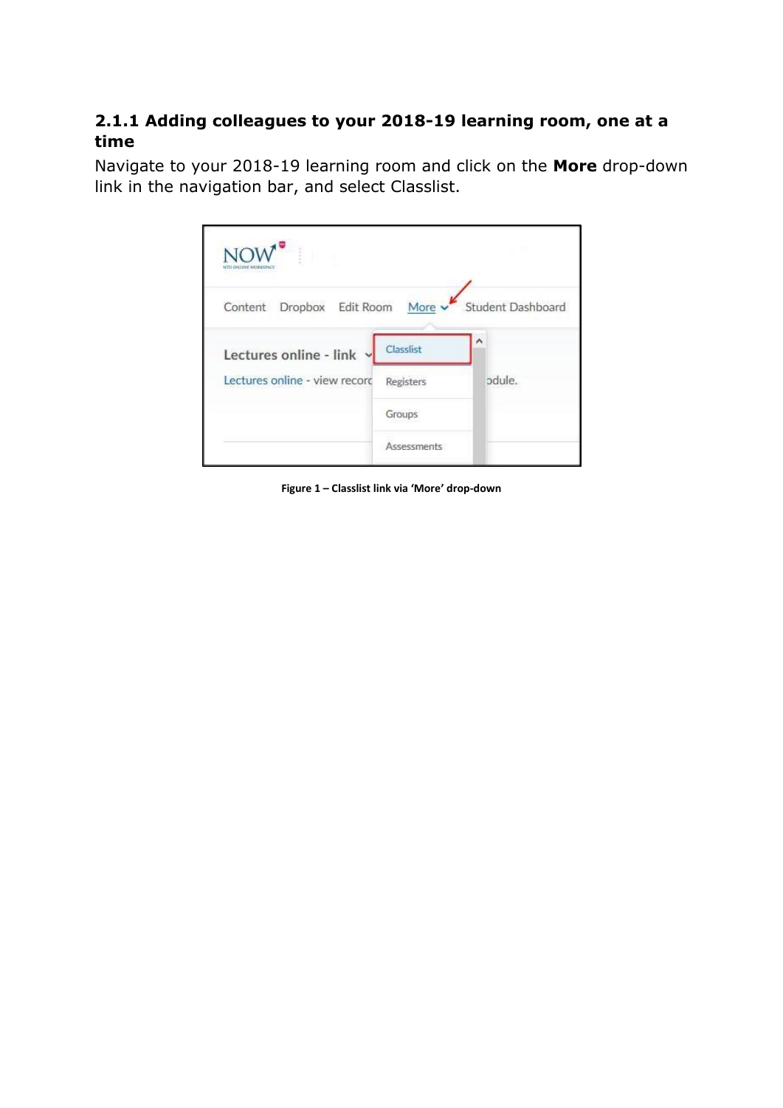## **2.1.1 Adding colleagues to your 2018-19 learning room, one at a time**

Navigate to your 2018-19 learning room and click on the **More** drop-down link in the navigation bar, and select Classlist.

| š                             |                    |                          |
|-------------------------------|--------------------|--------------------------|
| Content Dropbox Edit Room     |                    | More v Student Dashboard |
| Lectures online - link        | Classlist          | ۸                        |
| Lectures online - view record | <b>Registers</b>   | odule.                   |
|                               | Groups             |                          |
|                               | <b>Assessments</b> |                          |

**Figure 1 – Classlist link via 'More' drop-down**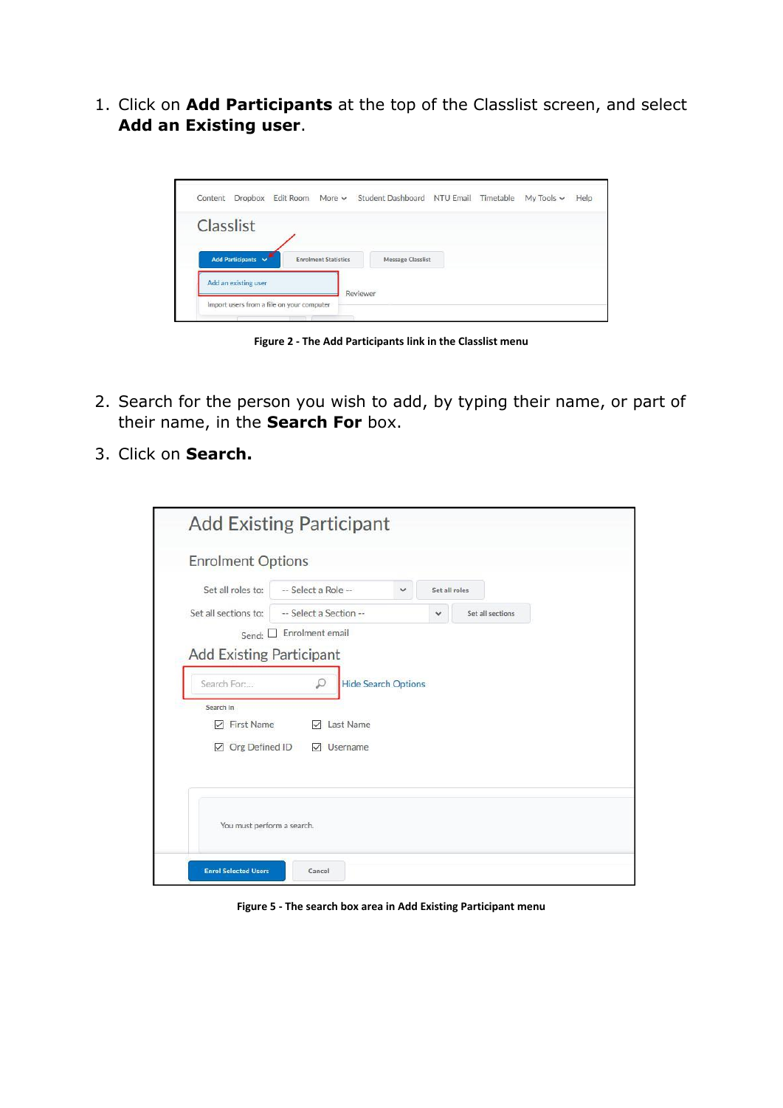1. Click on **Add Participants** at the top of the Classlist screen, and select **Add an Existing user**.



**Figure 2 - The Add Participants link in the Classlist menu**

- 2. Search for the person you wish to add, by typing their name, or part of their name, in the **Search For** box.
- 3. Click on **Search.**

|                                                                 | <b>Enrolment Options</b>                   |   |               |                  |
|-----------------------------------------------------------------|--------------------------------------------|---|---------------|------------------|
| Set all roles to:                                               | -- Select a Role --                        | v | Set all roles |                  |
| Set all sections to:                                            | -- Select a Section --                     |   | $\check{ }$   | Set all sections |
|                                                                 | Send: Enrolment email                      |   |               |                  |
|                                                                 |                                            |   |               |                  |
| Search In<br><b>First Name</b><br>▽<br>Org Defined ID<br>$\vee$ | Last Name<br>$\checkmark$<br>✓<br>Username |   |               |                  |

**Figure 5 - The search box area in Add Existing Participant menu**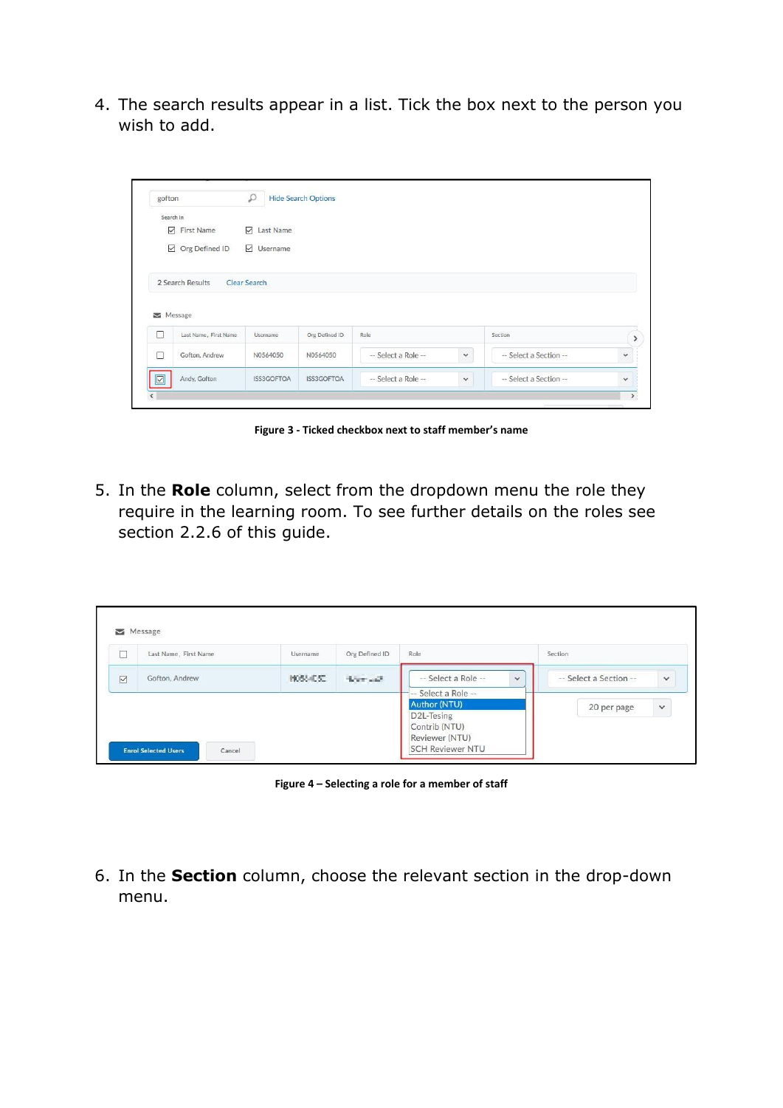4. The search results appear in a list. Tick the box next to the person you wish to add.

| gofton |                             | $\mathcal{L}$       | <b>Hide Search Options</b> |                     |             |                        |              |
|--------|-----------------------------|---------------------|----------------------------|---------------------|-------------|------------------------|--------------|
|        | Search In                   |                     |                            |                     |             |                        |              |
|        | $\nabla$ First Name         | $\n  Last Name\n$   |                            |                     |             |                        |              |
|        | $\boxdot$ Org Defined ID    | $\boxdot$ Username  |                            |                     |             |                        |              |
|        |                             |                     |                            |                     |             |                        |              |
|        | 2 Search Results<br>Message | <b>Clear Search</b> |                            |                     |             |                        |              |
| □      | Last Name, First Name       | Username            | Org Defined ID             | Role                |             | Section                |              |
| $\Box$ | Gofton, Andrew              | N0564050            | N0564050                   | -- Select a Role -- | $\check{~}$ | -- Select a Section -- | $\checkmark$ |

**Figure 3 - Ticked checkbox next to staff member's name**

5. In the **Role** column, select from the dropdown menu the role they require in the learning room. To see further details on the roles see section 2.2.6 of this guide.

| Ē               | Last Name, First Name                 | <b>Username</b> | Org Defined ID | Role                                                                                                                             | Section                                |
|-----------------|---------------------------------------|-----------------|----------------|----------------------------------------------------------------------------------------------------------------------------------|----------------------------------------|
| $\triangledown$ | Gofton, Andrew                        | 1033-052        | Seemald.       | -- Select a Role --<br>$\checkmark$                                                                                              | -- Select a Section --<br>$\checkmark$ |
|                 | <b>Enrol Selected Users</b><br>Cancel |                 |                | Select a Role --<br><b>Author (NTU)</b><br>D <sub>2</sub> L-Tesing<br>Contrib (NTU)<br>Reviewer (NTU)<br><b>SCH Reviewer NTU</b> | 20 per page<br>$\checkmark$            |

**Figure 4 – Selecting a role for a member of staff**

6. In the **Section** column, choose the relevant section in the drop-down menu.